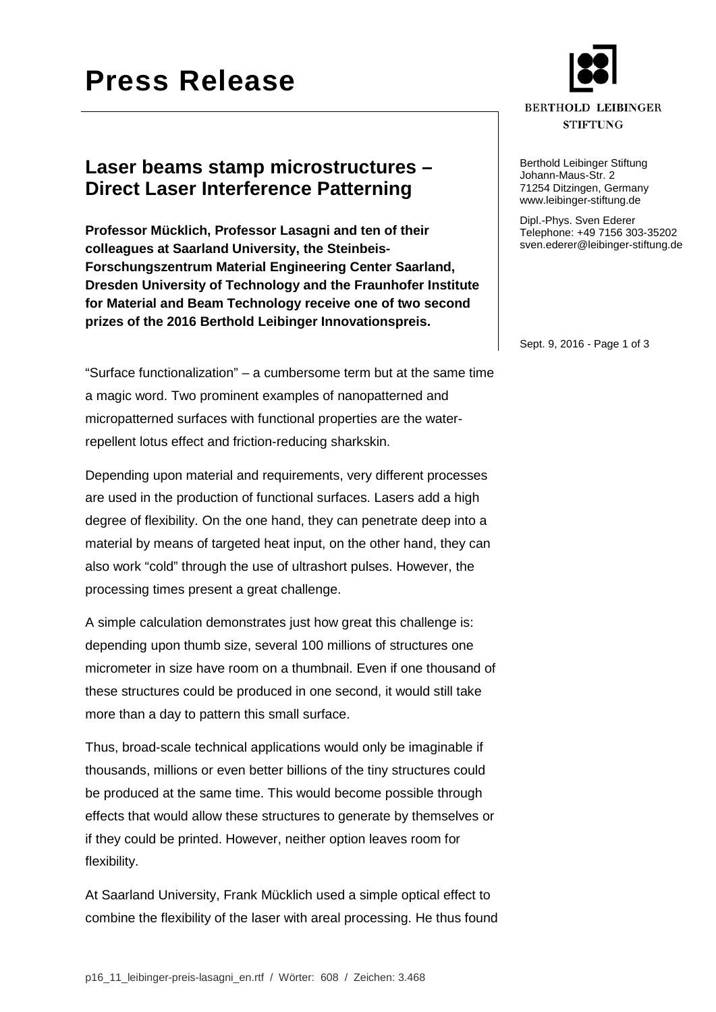# **Press Release**

#### **BERTHOLD LEIBINGER STIFTUNG**

Berthold Leibinger Stiftung Johann-Maus-Str. 2 71254 Ditzingen, Germany www.leibinger-stiftung.de

Dipl.-Phys. Sven Ederer Telephone: +49 7156 303-35202 sven.ederer@leibinger-stiftung.de

Sept. 9, 2016 - Page 1 of 3

### **Laser beams stamp microstructures – Direct Laser Interference Patterning**

**Professor Mücklich, Professor Lasagni and ten of their colleagues at Saarland University, the Steinbeis-Forschungszentrum Material Engineering Center Saarland, Dresden University of Technology and the Fraunhofer Institute for Material and Beam Technology receive one of two second prizes of the 2016 Berthold Leibinger Innovationspreis.**

"Surface functionalization" – a cumbersome term but at the same time a magic word. Two prominent examples of nanopatterned and micropatterned surfaces with functional properties are the waterrepellent lotus effect and friction-reducing sharkskin.

Depending upon material and requirements, very different processes are used in the production of functional surfaces. Lasers add a high degree of flexibility. On the one hand, they can penetrate deep into a material by means of targeted heat input, on the other hand, they can also work "cold" through the use of ultrashort pulses. However, the processing times present a great challenge.

A simple calculation demonstrates just how great this challenge is: depending upon thumb size, several 100 millions of structures one micrometer in size have room on a thumbnail. Even if one thousand of these structures could be produced in one second, it would still take more than a day to pattern this small surface.

Thus, broad-scale technical applications would only be imaginable if thousands, millions or even better billions of the tiny structures could be produced at the same time. This would become possible through effects that would allow these structures to generate by themselves or if they could be printed. However, neither option leaves room for flexibility.

At Saarland University, Frank Mücklich used a simple optical effect to combine the flexibility of the laser with areal processing. He thus found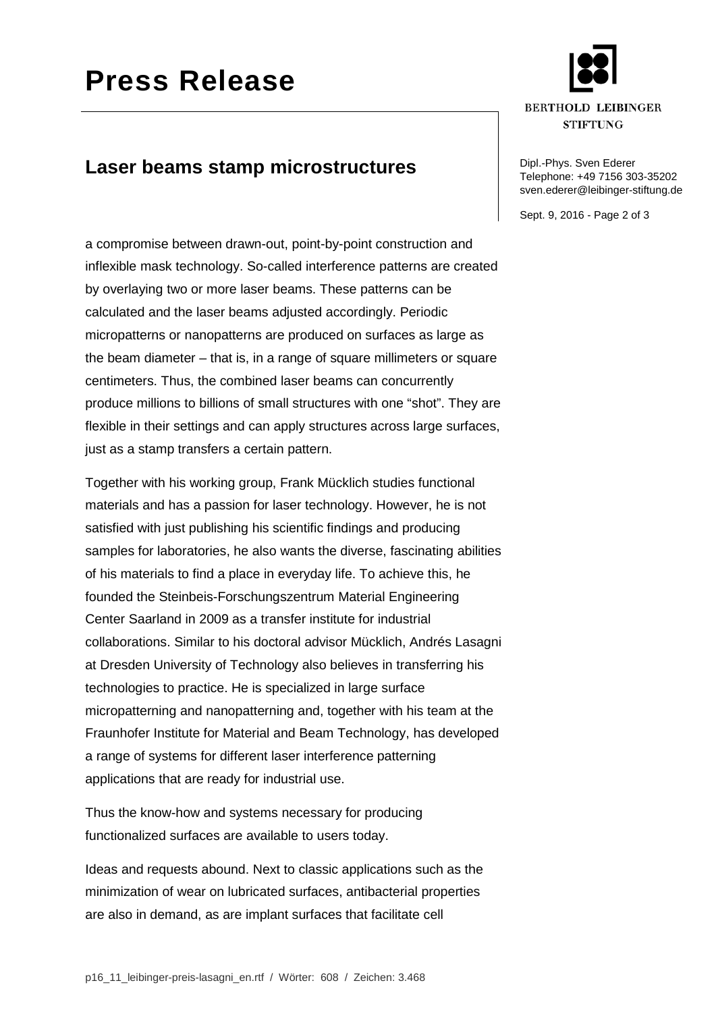

#### **BERTHOLD LEIBINGER STIFTUNG**

### Telephone: +49 7156 303-35202 sven.ederer@leibinger-stiftung.de

Sept. 9, 2016 - Page 2 of 3

### **Laser beams stamp microstructures Dipl.-Phys. Sven Ederer**

a compromise between drawn-out, point-by-point construction and inflexible mask technology. So-called interference patterns are created by overlaying two or more laser beams. These patterns can be calculated and the laser beams adjusted accordingly. Periodic micropatterns or nanopatterns are produced on surfaces as large as the beam diameter – that is, in a range of square millimeters or square centimeters. Thus, the combined laser beams can concurrently produce millions to billions of small structures with one "shot". They are flexible in their settings and can apply structures across large surfaces, just as a stamp transfers a certain pattern.

Together with his working group, Frank Mücklich studies functional materials and has a passion for laser technology. However, he is not satisfied with just publishing his scientific findings and producing samples for laboratories, he also wants the diverse, fascinating abilities of his materials to find a place in everyday life. To achieve this, he founded the Steinbeis-Forschungszentrum Material Engineering Center Saarland in 2009 as a transfer institute for industrial collaborations. Similar to his doctoral advisor Mücklich, Andrés Lasagni at Dresden University of Technology also believes in transferring his technologies to practice. He is specialized in large surface micropatterning and nanopatterning and, together with his team at the Fraunhofer Institute for Material and Beam Technology, has developed a range of systems for different laser interference patterning applications that are ready for industrial use.

Thus the know-how and systems necessary for producing functionalized surfaces are available to users today.

Ideas and requests abound. Next to classic applications such as the minimization of wear on lubricated surfaces, antibacterial properties are also in demand, as are implant surfaces that facilitate cell